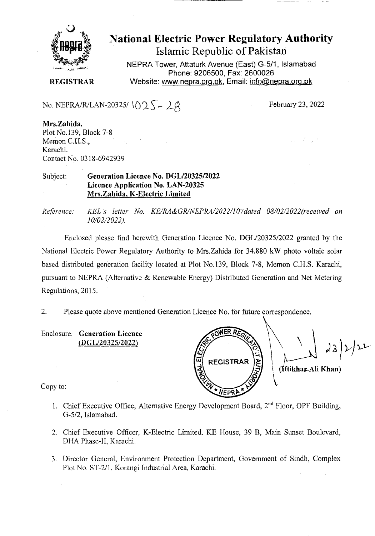

# National Electric Power Regulatory Authority Islamic Republic of Pakistan

NEPRA Tower, Attaturk Avenue (East) G-511, Islamabad Phone: 9206500, Fax: 2600026 **REGISTRAR** Website: www.nepra.org.pk, Email: info@nepra.org.pk

No. NEPRA/R/LAN-20325/ $02\sqrt{-2}$ 

February 23, 2022

**Mrs.Zahida,**  Plot No.139, Block 7-8 Memon C.H.S., Karachi. Contact No. 0318-6942939

#### Subject: **Generation Licence No.** *D6L12032512022*  **Licence Application No. LAN-20325 Mrs.Zahida, K-Electric Limited**

*Reference: KEL 's leiter No. KE/RA&GR/NEPRA/2022/107dated 08/02/2022('received on 10/02/2022).* 

Enclosed please find herewith Generation Licence No. DGL/20325/2022 granted by the National Electric Power Regulatory Authority to Mrs.Zahida for 34.880 kW photo voltaic solar based distributed generation facility located at Plot No.139, Block 7-8, Memon C.FI.S. Karachi, pursuant to NEPRA (Alternative & Renewable Energy) Distributed Generation and Net Metering Regulations, 2015.

2. Please quote above mentioned Generation Licence No. for ftiture correspondence.

Enclosure: **Generation Licence**   $(DGL/20325/2022)$ 

 $23)2/22$ **REGISTRAR (Iftikhar-Ali Khan) NFPRP** 

Copy to:

- 1. Chief Executive Office, Alternative Energy Development Board,  $2<sup>nd</sup>$  Floor, OPF Building, G-5/2, Islamabad.
- 2. Chief Executive Officer, K-Electric Limited, KE House, 39 B, Main Sunset Boulevard, DHA Phase-lI, Karachi.
- 3. Director General, Environment Protection Department, Government of Sindh, Complex Plot No. ST-2/1, Korangi Industrial Area, Karachi.